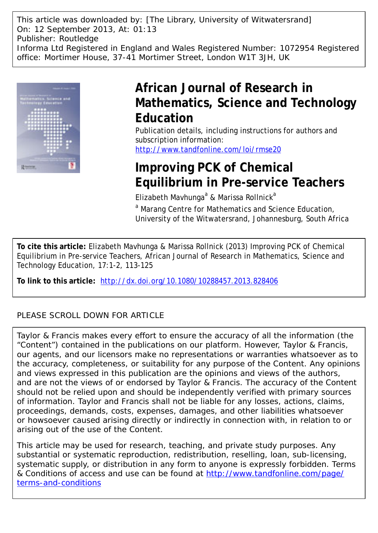This article was downloaded by: [The Library, University of Witwatersrand] On: 12 September 2013, At: 01:13 Publisher: Routledge Informa Ltd Registered in England and Wales Registered Number: 1072954 Registered office: Mortimer House, 37-41 Mortimer Street, London W1T 3JH, UK



# **African Journal of Research in Mathematics, Science and Technology Education**

Publication details, including instructions for authors and subscription information: <http://www.tandfonline.com/loi/rmse20>

# **Improving PCK of Chemical Equilibrium in Pre-service Teachers**

Elizabeth Mavhunga<sup>a</sup> & Marissa Rollnick<sup>a</sup>

<sup>a</sup> Marang Centre for Mathematics and Science Education, University of the Witwatersrand, Johannesburg, South Africa

**To cite this article:** Elizabeth Mavhunga & Marissa Rollnick (2013) Improving PCK of Chemical Equilibrium in Pre-service Teachers, African Journal of Research in Mathematics, Science and Technology Education, 17:1-2, 113-125

**To link to this article:** <http://dx.doi.org/10.1080/10288457.2013.828406>

### PLEASE SCROLL DOWN FOR ARTICLE

Taylor & Francis makes every effort to ensure the accuracy of all the information (the "Content") contained in the publications on our platform. However, Taylor & Francis, our agents, and our licensors make no representations or warranties whatsoever as to the accuracy, completeness, or suitability for any purpose of the Content. Any opinions and views expressed in this publication are the opinions and views of the authors, and are not the views of or endorsed by Taylor & Francis. The accuracy of the Content should not be relied upon and should be independently verified with primary sources of information. Taylor and Francis shall not be liable for any losses, actions, claims, proceedings, demands, costs, expenses, damages, and other liabilities whatsoever or howsoever caused arising directly or indirectly in connection with, in relation to or arising out of the use of the Content.

This article may be used for research, teaching, and private study purposes. Any substantial or systematic reproduction, redistribution, reselling, loan, sub-licensing, systematic supply, or distribution in any form to anyone is expressly forbidden. Terms & Conditions of access and use can be found at [http://www.tandfonline.com/page/](http://www.tandfonline.com/page/terms-and-conditions) [terms-and-conditions](http://www.tandfonline.com/page/terms-and-conditions)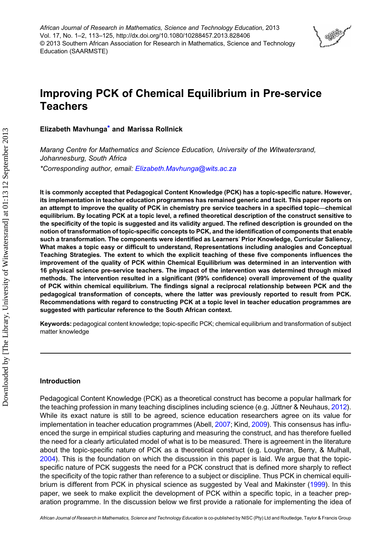African Journal of Research in Mathematics, Science and Technology Education, 2013 Vol. 17, No. 1–2, 113–125, http://dx.doi.org/10.1080/10288457.2013.828406 © 2013 Southern African Association for Research in Mathematics, Science and Technology Education (SAARMSTE)

# **SOFT**

## Improving PCK of Chemical Equilibrium in Pre-service **Teachers**

Elizabeth Mavhunga\* and Marissa Rollnick

Marang Centre for Mathematics and Science Education, University of the Witwatersrand, Johannesburg, South Africa \*Corresponding author, email: [Elizabeth.Mavhunga@wits.ac.za](mailto:Elizabeth.Mavhunga@wits.ac.za)

It is commonly accepted that Pedagogical Content Knowledge (PCK) has a topic-specific nature. However, its implementation in teacher education programmes has remained generic and tacit. This paper reports on an attempt to improve the quality of PCK in chemistry pre service teachers in a specified topic—chemical equilibrium. By locating PCK at a topic level, a refined theoretical description of the construct sensitive to the specificity of the topic is suggested and its validity argued. The refined description is grounded on the notion of transformation of topic-specific concepts to PCK, and the identification of components that enable such a transformation. The components were identified as Learners' Prior Knowledge, Curricular Saliency, What makes a topic easy or difficult to understand, Representations including analogies and Conceptual Teaching Strategies. The extent to which the explicit teaching of these five components influences the improvement of the quality of PCK within Chemical Equilibrium was determined in an intervention with 16 physical science pre-service teachers. The impact of the intervention was determined through mixed methods. The intervention resulted in a significant (99% confidence) overall improvement of the quality of PCK within chemical equilibrium. The findings signal a reciprocal relationship between PCK and the pedagogical transformation of concepts, where the latter was previously reported to result from PCK. Recommendations with regard to constructing PCK at a topic level in teacher education programmes are suggested with particular reference to the South African context.

Keywords: pedagogical content knowledge; topic-specific PCK; chemical equilibrium and transformation of subject matter knowledge

#### Introduction

Pedagogical Content Knowledge (PCK) as a theoretical construct has become a popular hallmark for the teaching profession in many teaching disciplines including science (e.g. Jüttner & Neuhaus, [2012\)](#page-12-0). While its exact nature is still to be agreed, science education researchers agree on its value for implementation in teacher education programmes (Abell, [2007](#page-12-0); Kind, [2009\)](#page-12-0). This consensus has influenced the surge in empirical studies capturing and measuring the construct, and has therefore fuelled the need for a clearly articulated model of what is to be measured. There is agreement in the literature about the topic-specific nature of PCK as a theoretical construct (e.g. Loughran, Berry, & Mulhall, [2004\)](#page-12-0). This is the foundation on which the discussion in this paper is laid. We argue that the topicspecific nature of PCK suggests the need for a PCK construct that is defined more sharply to reflect the specificity of the topic rather than reference to a subject or discipline. Thus PCK in chemical equilibrium is different from PCK in physical science as suggested by Veal and Makinster [\(1999](#page-13-0)). In this paper, we seek to make explicit the development of PCK within a specific topic, in a teacher preparation programme. In the discussion below we first provide a rationale for implementing the idea of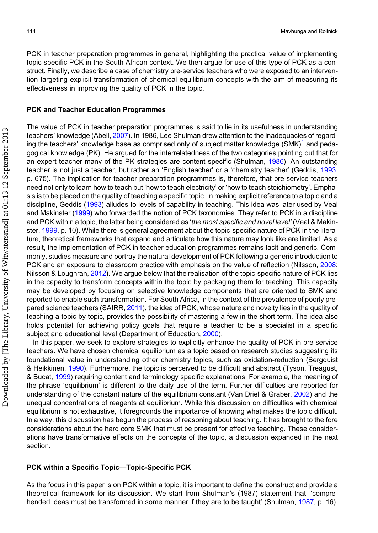PCK in teacher preparation programmes in general, highlighting the practical value of implementing topic-specific PCK in the South African context. We then argue for use of this type of PCK as a construct. Finally, we describe a case of chemistry pre-service teachers who were exposed to an intervention targeting explicit transformation of chemical equilibrium concepts with the aim of measuring its effectiveness in improving the quality of PCK in the topic.

#### PCK and Teacher Education Programmes

The value of PCK in teacher preparation programmes is said to lie in its usefulness in understanding teachers' knowledge (Abell, [2007\)](#page-12-0). In 1986, Lee Shulman drew attention to the inadequacies of regarding the teachers' knowledge base as comprised only of subject matter knowledge  $(SMK)^{1}$  and pedagogical knowledge (PK). He argued for the interrelatedness of the two categories pointing out that for an expert teacher many of the PK strategies are content specific (Shulman, [1986\)](#page-13-0). An outstanding teacher is not just a teacher, but rather an 'English teacher' or a 'chemistry teacher' (Geddis, [1993](#page-12-0), p. 675). The implication for teacher preparation programmes is, therefore, that pre-service teachers need not only to learn how to teach but 'how to teach electricity' or 'how to teach stoichiometry'. Emphasis is to be placed on the quality of teaching a specific topic. In making explicit reference to a topic and a discipline, Geddis ([1993\)](#page-12-0) alludes to levels of capability in teaching. This idea was later used by Veal and Makinster [\(1999](#page-13-0)) who forwarded the notion of PCK taxonomies. They refer to PCK in a discipline and PCK within a topic, the latter being considered as 'the most specific and novel level' (Veal & Makinster, [1999](#page-13-0), p. 10). While there is general agreement about the topic-specific nature of PCK in the literature, theoretical frameworks that expand and articulate how this nature may look like are limited. As a result, the implementation of PCK in teacher education programmes remains tacit and generic. Commonly, studies measure and portray the natural development of PCK following a generic introduction to PCK and an exposure to classroom practice with emphasis on the value of reflection (Nilsson, [2008](#page-12-0); Nilsson & Loughran, [2012](#page-13-0)). We argue below that the realisation of the topic-specific nature of PCK lies in the capacity to transform concepts within the topic by packaging them for teaching. This capacity may be developed by focusing on selective knowledge components that are oriented to SMK and reported to enable such transformation. For South Africa, in the context of the prevalence of poorly prepared science teachers (SAIRR, [2011\)](#page-13-0), the idea of PCK, whose nature and novelty lies in the quality of teaching a topic by topic, provides the possibility of mastering a few in the short term. The idea also holds potential for achieving policy goals that require a teacher to be a specialist in a specific subject and educational level (Department of Education, [2000\)](#page-12-0).

In this paper, we seek to explore strategies to explicitly enhance the quality of PCK in pre-service teachers. We have chosen chemical equilibrium as a topic based on research studies suggesting its foundational value in understanding other chemistry topics, such as oxidation-reduction (Bergquist & Heikkinen, [1990\)](#page-12-0). Furthermore, the topic is perceived to be difficult and abstract (Tyson, Treagust, & Bucat, [1999](#page-13-0)) requiring content and terminology specific explanations. For example, the meaning of the phrase 'equilibrium' is different to the daily use of the term. Further difficulties are reported for understanding of the constant nature of the equilibrium constant (Van Driel & Graber, [2002](#page-13-0)) and the unequal concentrations of reagents at equilibrium. While this discussion on difficulties with chemical equilibrium is not exhaustive, it foregrounds the importance of knowing what makes the topic difficult. In a way, this discussion has begun the process of reasoning about teaching. It has brought to the fore considerations about the hard core SMK that must be present for effective teaching. These considerations have transformative effects on the concepts of the topic, a discussion expanded in the next section.

#### PCK within a Specific Topic—Topic-Specific PCK

As the focus in this paper is on PCK within a topic, it is important to define the construct and provide a theoretical framework for its discussion. We start from Shulman's (1987) statement that: 'compre-hended ideas must be transformed in some manner if they are to be taught' (Shulman, [1987](#page-13-0), p. 16).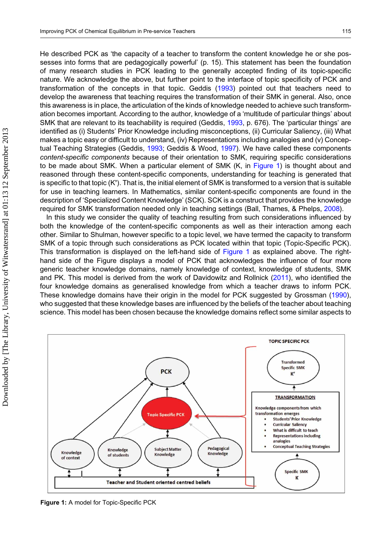<span id="page-3-0"></span>He described PCK as 'the capacity of a teacher to transform the content knowledge he or she possesses into forms that are pedagogically powerful' (p. 15). This statement has been the foundation of many research studies in PCK leading to the generally accepted finding of its topic-specific nature. We acknowledge the above, but further point to the interface of topic specificity of PCK and transformation of the concepts in that topic. Geddis [\(1993](#page-12-0)) pointed out that teachers need to develop the awareness that teaching requires the transformation of their SMK in general. Also, once this awareness is in place, the articulation of the kinds of knowledge needed to achieve such transformation becomes important. According to the author, knowledge of a 'multitude of particular things' about SMK that are relevant to its teachability is required (Geddis, [1993,](#page-12-0) p. 676). The 'particular things' are identified as (i) Students' Prior Knowledge including misconceptions, (ii) Curricular Saliency, (iii) What makes a topic easy or difficult to understand, (iv) Representations including analogies and (v) Concep-tual Teaching Strategies (Geddis, [1993](#page-12-0); Geddis & Wood, [1997](#page-12-0)). We have called these components content-specific components because of their orientation to SMK, requiring specific considerations to be made about SMK. When a particular element of SMK (K, in Figure 1) is thought about and reasoned through these content-specific components, understanding for teaching is generated that is specific to that topic (K'). That is, the initial element of SMK is transformed to a version that is suitable for use in teaching learners. In Mathematics, similar content-specific components are found in the description of 'Specialized Content Knowledge' (SCK). SCK is a construct that provides the knowledge required for SMK transformation needed only in teaching settings (Ball, Thames, & Phelps, [2008](#page-12-0)).

In this study we consider the quality of teaching resulting from such considerations influenced by both the knowledge of the content-specific components as well as their interaction among each other. Similar to Shulman, however specific to a topic level, we have termed the capacity to transform SMK of a topic through such considerations as PCK located within that topic (Topic-Specific PCK). This transformation is displayed on the left-hand side of Figure 1 as explained above. The righthand side of the Figure displays a model of PCK that acknowledges the influence of four more generic teacher knowledge domains, namely knowledge of context, knowledge of students, SMK and PK. This model is derived from the work of Davidowitz and Rollnick [\(2011](#page-12-0)), who identified the four knowledge domains as generalised knowledge from which a teacher draws to inform PCK. These knowledge domains have their origin in the model for PCK suggested by Grossman ([1990\)](#page-12-0), who suggested that these knowledge bases are influenced by the beliefs of the teacher about teaching science. This model has been chosen because the knowledge domains reflect some similar aspects to



Figure 1: A model for Topic-Specific PCK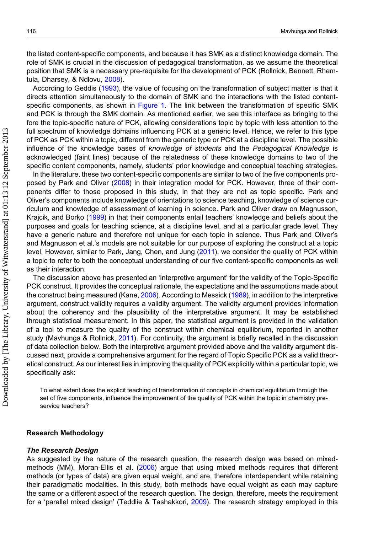the listed content-specific components, and because it has SMK as a distinct knowledge domain. The role of SMK is crucial in the discussion of pedagogical transformation, as we assume the theoretical position that SMK is a necessary pre-requisite for the development of PCK (Rollnick, Bennett, Rhemtula, Dharsey, & Ndlovu, [2008](#page-13-0)).

According to Geddis ([1993\)](#page-12-0), the value of focusing on the transformation of subject matter is that it directs attention simultaneously to the domain of SMK and the interactions with the listed content-specific components, as shown in [Figure 1.](#page-3-0) The link between the transformation of specific SMK and PCK is through the SMK domain. As mentioned earlier, we see this interface as bringing to the fore the topic-specific nature of PCK, allowing considerations topic by topic with less attention to the full spectrum of knowledge domains influencing PCK at a generic level. Hence, we refer to this type of PCK as PCK within a topic, different from the generic type or PCK at a discipline level. The possible influence of the knowledge bases of knowledge of students and the Pedagogical Knowledge is acknowledged (faint lines) because of the relatedness of these knowledge domains to two of the specific content components, namely, students' prior knowledge and conceptual teaching strategies.

In the literature, these two content-specific components are similar to two of the five components proposed by Park and Oliver [\(2008](#page-13-0)) in their integration model for PCK. However, three of their components differ to those proposed in this study, in that they are not as topic specific. Park and Oliver's components include knowledge of orientations to science teaching, knowledge of science curriculum and knowledge of assessment of learning in science. Park and Oliver draw on Magnusson, Krajcik, and Borko [\(1999\)](#page-12-0) in that their components entail teachers' knowledge and beliefs about the purposes and goals for teaching science, at a discipline level, and at a particular grade level. They have a generic nature and therefore not unique for each topic in science. Thus Park and Oliver's and Magnusson et al.'s models are not suitable for our purpose of exploring the construct at a topic level. However, similar to Park, Jang, Chen, and Jung [\(2011](#page-13-0)), we consider the quality of PCK within a topic to refer to both the conceptual understanding of our five content-specific components as well as their interaction.

The discussion above has presented an 'interpretive argument' for the validity of the Topic-Specific PCK construct. It provides the conceptual rationale, the expectations and the assumptions made about the construct being measured (Kane, [2006](#page-12-0)). According to Messick ([1989](#page-12-0)), in addition to the interpretive argument, construct validity requires a validity argument. The validity argument provides information about the coherency and the plausibility of the interpretative argument. It may be established through statistical measurement. In this paper, the statistical argument is provided in the validation of a tool to measure the quality of the construct within chemical equilibrium, reported in another study (Mavhunga & Rollnick, [2011\)](#page-12-0). For continuity, the argument is briefly recalled in the discussion of data collection below. Both the interpretive argument provided above and the validity argument discussed next, provide a comprehensive argument for the regard of Topic Specific PCK as a valid theoretical construct. As our interest lies in improving the quality of PCK explicitly within a particular topic, we specifically ask:

To what extent does the explicit teaching of transformation of concepts in chemical equilibrium through the set of five components, influence the improvement of the quality of PCK within the topic in chemistry preservice teachers?

#### Research Methodology

#### The Research Design

As suggested by the nature of the research question, the research design was based on mixedmethods (MM). Moran-Ellis et al. [\(2006](#page-12-0)) argue that using mixed methods requires that different methods (or types of data) are given equal weight, and are, therefore interdependent while retaining their paradigmatic modalities. In this study, both methods have equal weight as each may capture the same or a different aspect of the research question. The design, therefore, meets the requirement for a 'parallel mixed design' (Teddlie & Tashakkori, [2009\)](#page-13-0). The research strategy employed in this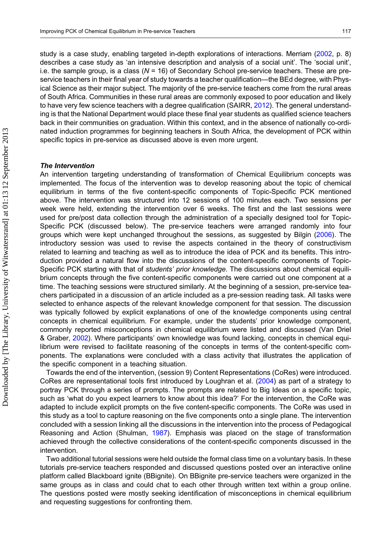study is a case study, enabling targeted in-depth explorations of interactions. Merriam ([2002](#page-12-0), p. 8) describes a case study as 'an intensive description and analysis of a social unit'. The 'social unit', i.e. the sample group, is a class  $(N = 16)$  of Secondary School pre-service teachers. These are preservice teachers in their final year of study towards a teacher qualification—the BEd degree, with Physical Science as their major subject. The majority of the pre-service teachers come from the rural areas of South Africa. Communities in these rural areas are commonly exposed to poor education and likely to have very few science teachers with a degree qualification (SAIRR, [2012\)](#page-13-0). The general understanding is that the National Department would place these final year students as qualified science teachers back in their communities on graduation. Within this context, and in the absence of nationally co-ordinated induction programmes for beginning teachers in South Africa, the development of PCK within specific topics in pre-service as discussed above is even more urgent.

#### The Intervention

An intervention targeting understanding of transformation of Chemical Equilibrium concepts was implemented. The focus of the intervention was to develop reasoning about the topic of chemical equilibrium in terms of the five content-specific components of Topic-Specific PCK mentioned above. The intervention was structured into 12 sessions of 100 minutes each. Two sessions per week were held, extending the intervention over 6 weeks. The first and the last sessions were used for pre/post data collection through the administration of a specially designed tool for Topic-Specific PCK (discussed below). The pre-service teachers were arranged randomly into four groups which were kept unchanged throughout the sessions, as suggested by Bilgin ([2006](#page-12-0)). The introductory session was used to revise the aspects contained in the theory of constructivism related to learning and teaching as well as to introduce the idea of PCK and its benefits. This introduction provided a natural flow into the discussions of the content-specific components of Topic-Specific PCK starting with that of *students' prior knowledge*. The discussions about chemical equilibrium concepts through the five content-specific components were carried out one component at a time. The teaching sessions were structured similarly. At the beginning of a session, pre-service teachers participated in a discussion of an article included as a pre-session reading task. All tasks were selected to enhance aspects of the relevant knowledge component for that session. The discussion was typically followed by explicit explanations of one of the knowledge components using central concepts in chemical equilibrium. For example, under the students' prior knowledge component, commonly reported misconceptions in chemical equilibrium were listed and discussed (Van Driel & Graber, [2002\)](#page-13-0). Where participants' own knowledge was found lacking, concepts in chemical equilibrium were revised to facilitate reasoning of the concepts in terms of the content-specific components. The explanations were concluded with a class activity that illustrates the application of the specific component in a teaching situation.

Towards the end of the intervention, (session 9) Content Representations (CoRes) were introduced. CoRes are representational tools first introduced by Loughran et al. [\(2004](#page-12-0)) as part of a strategy to portray PCK through a series of prompts. The prompts are related to Big Ideas on a specific topic, such as 'what do you expect learners to know about this idea?' For the intervention, the CoRe was adapted to include explicit prompts on the five content-specific components. The CoRe was used in this study as a tool to capture reasoning on the five components onto a single plane. The intervention concluded with a session linking all the discussions in the intervention into the process of Pedagogical Reasoning and Action (Shulman, [1987\)](#page-13-0). Emphasis was placed on the stage of transformation achieved through the collective considerations of the content-specific components discussed in the intervention.

Two additional tutorial sessions were held outside the formal class time on a voluntary basis. In these tutorials pre-service teachers responded and discussed questions posted over an interactive online platform called Blackboard ignite (BBignite). On BBignite pre-service teachers were organized in the same groups as in class and could chat to each other through written text within a group online. The questions posted were mostly seeking identification of misconceptions in chemical equilibrium and requesting suggestions for confronting them.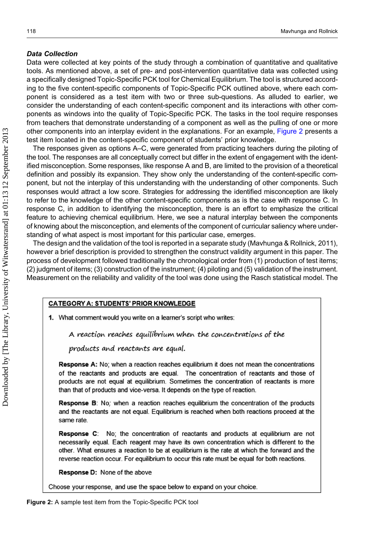#### Data Collection

Data were collected at key points of the study through a combination of quantitative and qualitative tools. As mentioned above, a set of pre- and post-intervention quantitative data was collected using a specifically designed Topic-Specific PCK tool for Chemical Equilibrium. The tool is structured according to the five content-specific components of Topic-Specific PCK outlined above, where each component is considered as a test item with two or three sub-questions. As alluded to earlier, we consider the understanding of each content-specific component and its interactions with other components as windows into the quality of Topic-Specific PCK. The tasks in the tool require responses from teachers that demonstrate understanding of a component as well as the pulling of one or more other components into an interplay evident in the explanations. For an example, Figure 2 presents a test item located in the content-specific component of students' prior knowledge.

The responses given as options A–C, were generated from practicing teachers during the piloting of the tool. The responses are all conceptually correct but differ in the extent of engagement with the identified misconception. Some responses, like response A and B, are limited to the provision of a theoretical definition and possibly its expansion. They show only the understanding of the content-specific component, but not the interplay of this understanding with the understanding of other components. Such responses would attract a low score. Strategies for addressing the identified misconception are likely to refer to the knowledge of the other content-specific components as is the case with response C. In response C, in addition to identifying the misconception, there is an effort to emphasize the critical feature to achieving chemical equilibrium. Here, we see a natural interplay between the components of knowing about the misconception, and elements of the component of curricular saliency where understanding of what aspect is most important for this particular case, emerges.

The design and the validation of the tool is reported in a separate study (Mavhunga & Rollnick, 2011), however a brief description is provided to strengthen the construct validity argument in this paper. The process of development followed traditionally the chronological order from (1) production of test items; (2) judgment of items; (3) construction of the instrument; (4) piloting and (5) validation of the instrument. Measurement on the reliability and validity of the tool was done using the Rasch statistical model. The

#### **CATEGORY A: STUDENTS' PRIOR KNOWLEDGE**

What comment would you write on a learner's script who writes:

A reaction reaches equilibrium when the concentrations of the

products and reactants are equal.

Response A: No; when a reaction reaches equilibrium it does not mean the concentrations of the reactants and products are equal. The concentration of reactants and those of products are not equal at equilibrium. Sometimes the concentration of reactants is more than that of products and vice-versa. It depends on the type of reaction.

**Response B:** No; when a reaction reaches equilibrium the concentration of the products and the reactants are not equal. Equilibrium is reached when both reactions proceed at the same rate.

Response C: No; the concentration of reactants and products at equilibrium are not necessarily equal. Each reagent may have its own concentration which is different to the other. What ensures a reaction to be at equilibrium is the rate at which the forward and the reverse reaction occur. For equilibrium to occur this rate must be equal for both reactions.

Response D: None of the above

Choose your response, and use the space below to expand on your choice.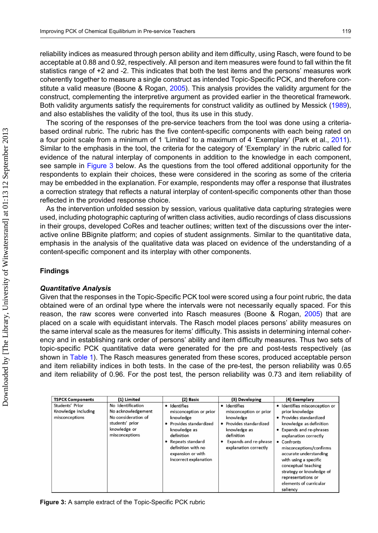reliability indices as measured through person ability and item difficulty, using Rasch, were found to be acceptable at 0.88 and 0.92, respectively. All person and item measures were found to fall within the fit statistics range of +2 and -2. This indicates that both the test items and the persons' measures work coherently together to measure a single construct as intended Topic-Specific PCK, and therefore con-stitute a valid measure (Boone & Rogan, [2005](#page-12-0)). This analysis provides the validity argument for the construct, complementing the interpretive argument as provided earlier in the theoretical framework. Both validity arguments satisfy the requirements for construct validity as outlined by Messick ([1989\)](#page-12-0), and also establishes the validity of the tool, thus its use in this study.

The scoring of the responses of the pre-service teachers from the tool was done using a criteriabased ordinal rubric. The rubric has the five content-specific components with each being rated on a four point scale from a minimum of 1 'Limited' to a maximum of 4 'Exemplary' (Park et al., [2011](#page-13-0)). Similar to the emphasis in the tool, the criteria for the category of 'Exemplary' in the rubric called for evidence of the natural interplay of components in addition to the knowledge in each component, see sample in Figure 3 below. As the questions from the tool offered additional opportunity for the respondents to explain their choices, these were considered in the scoring as some of the criteria may be embedded in the explanation. For example, respondents may offer a response that illustrates a correction strategy that reflects a natural interplay of content-specific components other than those reflected in the provided response choice.

As the intervention unfolded session by session, various qualitative data capturing strategies were used, including photographic capturing of written class activities, audio recordings of class discussions in their groups, developed CoRes and teacher outlines; written text of the discussions over the interactive online BBignite platform; and copies of student assignments. Similar to the quantitative data, emphasis in the analysis of the qualitative data was placed on evidence of the understanding of a content-specific component and its interplay with other components.

#### Findings

#### Quantitative Analysis

Given that the responses in the Topic-Specific PCK tool were scored using a four point rubric, the data obtained were of an ordinal type where the intervals were not necessarily equally spaced. For this reason, the raw scores were converted into Rasch measures (Boone & Rogan, [2005](#page-12-0)) that are placed on a scale with equidistant intervals. The Rasch model places persons' ability measures on the same interval scale as the measures for items' difficulty. This assists in determining internal coherency and in establishing rank order of persons' ability and item difficulty measures. Thus two sets of topic-specific PCK quantitative data were generated for the pre and post-tests respectively (as shown in [Table 1](#page-8-0)). The Rasch measures generated from these scores, produced acceptable person and item reliability indices in both tests. In the case of the pre-test, the person reliability was 0.65 and item reliability of 0.96. For the post test, the person reliability was 0.73 and item reliability of

| <b>TSPCK Components</b>                                  | (1) Limited                                                                                                         | (2) Basic                                                                                                                                                                                              | (3) Developing                                                                                                                                                      | (4) Exemplary                                                                                                                                                                                                                                                                                                                                                           |
|----------------------------------------------------------|---------------------------------------------------------------------------------------------------------------------|--------------------------------------------------------------------------------------------------------------------------------------------------------------------------------------------------------|---------------------------------------------------------------------------------------------------------------------------------------------------------------------|-------------------------------------------------------------------------------------------------------------------------------------------------------------------------------------------------------------------------------------------------------------------------------------------------------------------------------------------------------------------------|
| Students' Prior<br>Knowledge including<br>misconceptions | No identification<br>No acknowledgement<br>No consideration of<br>students' prior<br>knowledge or<br>misconceptions | · Identifies<br>misconception or prior<br>knowledge<br>• Provides standardized<br>knowledge as<br>definition<br>• Repeats standard<br>definition with no<br>expansion or with<br>incorrect explanation | · Identifies<br>misconception or prior<br>knowledge<br>• Provides standardized<br>knowledge as<br>definition<br>Expands and re-phrase<br>٠<br>explanation correctly | · Identifies misconception or<br>prior knowledge<br>• Provides standardized<br>knowledge as definition<br>• Expands and re-phrases<br>explanation correctly<br>• Confronts<br>misconceptions/confirms<br>accurate understanding<br>with using a specific<br>conceptual teaching<br>strategy or knowledge of<br>representations or<br>elements of curricular<br>saliency |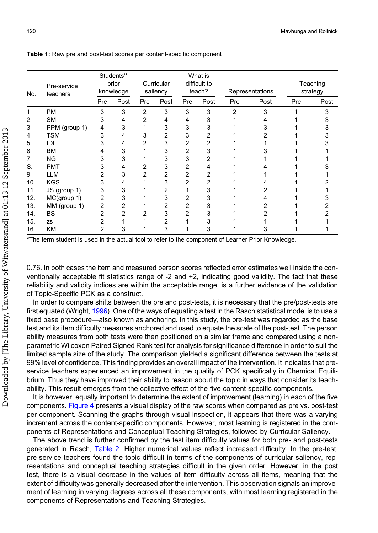|     |                         |     | Students'*         |     |                        |                | What is                |                |                 |     |                      |
|-----|-------------------------|-----|--------------------|-----|------------------------|----------------|------------------------|----------------|-----------------|-----|----------------------|
| No. | Pre-service<br>teachers |     | prior<br>knowledge |     | Curricular<br>saliency |                | difficult to<br>teach? |                | Representations |     | Teaching<br>strategy |
|     |                         | Pre | Post               | Pre | Post                   | Pre            | Post                   | Pre            | Post            | Pre | Post                 |
| 1.  | <b>PM</b>               | 3   | 3                  | 2   | 3                      | 3              | 3                      | $\overline{2}$ | 3               |     | 3                    |
| 2.  | <b>SM</b>               | 3   | 4                  | 2   | 4                      | 4              | 3                      |                |                 |     |                      |
| 3.  | PPM (group 1)           | 4   | 3                  |     | 3                      | 3              | 3                      |                |                 |     |                      |
| 4.  | <b>TSM</b>              | 3   | 4                  | 3   | 2                      | 3              |                        |                |                 |     |                      |
| 5.  | <b>IDL</b>              | 3   | 4                  | 2   | 3                      | $\overline{2}$ | 2                      |                |                 |     |                      |
| 6.  | <b>BM</b>               |     | 3                  |     | 3                      | 2              |                        |                |                 |     |                      |
| 7.  | NG                      |     | 3                  |     | 3                      | 3              |                        |                |                 |     |                      |
| S.  | <b>PMT</b>              |     | 4                  |     | 3                      | 2              |                        |                |                 |     |                      |
| 9.  | <b>LLM</b>              |     | 3                  |     | 2                      | 2              |                        |                |                 |     |                      |
| 10. | <b>KGS</b>              | 3   | 4                  |     | 3                      | 2              |                        |                |                 |     |                      |
| 11. | JS (group 1)            | 3   | 3                  |     | 2                      |                | 3                      |                |                 |     |                      |
| 12. | MC(group 1)             | 2   | 3                  |     | 3                      |                | 3                      |                |                 |     |                      |
| 13. | MM (group 1)            | 2   | 2                  |     | 2                      | 2              |                        |                |                 |     |                      |
| 14. | <b>BS</b>               | 2   |                    |     | 3                      | 2              |                        |                |                 |     |                      |
| 15. | <b>ZS</b>               |     |                    |     |                        |                |                        |                |                 |     |                      |
| 16. | KM                      |     | 3                  |     | 3                      |                | 3                      |                |                 |     |                      |

<span id="page-8-0"></span>Table 1: Raw pre and post-test scores per content-specific component

\*The term student is used in the actual tool to refer to the component of Learner Prior Knowledge.

0.76. In both cases the item and measured person scores reflected error estimates well inside the conventionally acceptable fit statistics range of -2 and +2, indicating good validity. The fact that these reliability and validity indices are within the acceptable range, is a further evidence of the validation of Topic-Specific PCK as a construct.

In order to compare shifts between the pre and post-tests, it is necessary that the pre/post-tests are first equated (Wright, [1996](#page-13-0)). One of the ways of equating a test in the Rasch statistical model is to use a fixed base procedure—also known as anchoring. In this study, the pre-test was regarded as the base test and its item difficulty measures anchored and used to equate the scale of the post-test. The person ability measures from both tests were then positioned on a similar frame and compared using a nonparametric Wilcoxon Paired Signed Rank test for analysis for significance difference in order to suit the limited sample size of the study. The comparison yielded a significant difference between the tests at 99% level of confidence. This finding provides an overall impact of the intervention. It indicates that preservice teachers experienced an improvement in the quality of PCK specifically in Chemical Equilibrium. Thus they have improved their ability to reason about the topic in ways that consider its teachability. This result emerges from the collective effect of the five content-specific components.

It is however, equally important to determine the extent of improvement (learning) in each of the five components. [Figure 4](#page-9-0) presents a visual display of the raw scores when compared as pre vs. post-test per component. Scanning the graphs through visual inspection, it appears that there was a varying increment across the content-specific components. However, most learning is registered in the components of Representations and Conceptual Teaching Strategies, followed by Curricular Saliency.

The above trend is further confirmed by the test item difficulty values for both pre- and post-tests generated in Rasch, [Table 2](#page-9-0). Higher numerical values reflect increased difficulty. In the pre-test, pre-service teachers found the topic difficult in terms of the components of curricular saliency, representations and conceptual teaching strategies difficult in the given order. However, in the post test, there is a visual decrease in the values of item difficulty across all items, meaning that the extent of difficulty was generally decreased after the intervention. This observation signals an improvement of learning in varying degrees across all these components, with most learning registered in the components of Representations and Teaching Strategies.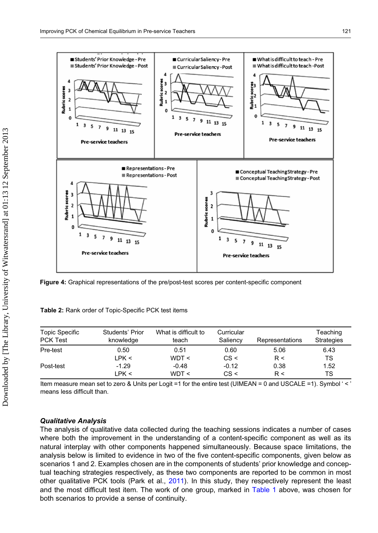<span id="page-9-0"></span>

Figure 4: Graphical representations of the pre/post-test scores per content-specific component

| Topic Specific  | Students' Prior | What is difficult to | Curricular | Representations | Teaching          |
|-----------------|-----------------|----------------------|------------|-----------------|-------------------|
| <b>PCK Test</b> | knowledge       | teach                | Saliency   |                 | <b>Strategies</b> |
| Pre-test        | 0.50            | 0.51                 | 0.60       | 5.06            | 6.43              |
|                 | LPK <           | WDT <                | CS <       | R <             | TS                |
| Post-test       | $-1.29$         | $-0.48$              | $-0.12$    | 0.38            | 1.52              |
|                 | PR <            | WDT <                | CS <       | R <             | TS                |

Item measure mean set to zero & Units per Logit =1 for the entire test (UIMEAN = 0 and USCALE =1). Symbol '<' means less difficult than.

#### Qualitative Analysis

The analysis of qualitative data collected during the teaching sessions indicates a number of cases where both the improvement in the understanding of a content-specific component as well as its natural interplay with other components happened simultaneously. Because space limitations, the analysis below is limited to evidence in two of the five content-specific components, given below as scenarios 1 and 2. Examples chosen are in the components of students' prior knowledge and conceptual teaching strategies respectively, as these two components are reported to be common in most other qualitative PCK tools (Park et al., [2011\)](#page-13-0). In this study, they respectively represent the least and the most difficult test item. The work of one group, marked in [Table 1](#page-8-0) above, was chosen for both scenarios to provide a sense of continuity.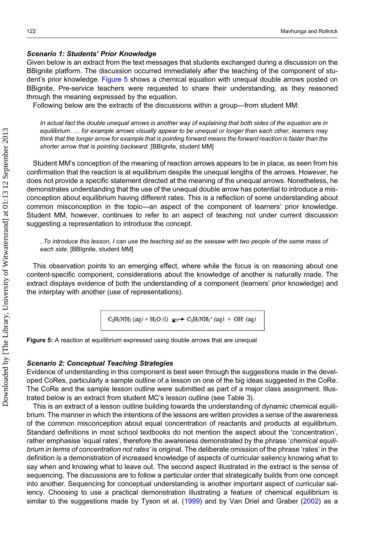#### Scenario 1: Students' Prior Knowledge

Given below is an extract from the text messages that students exchanged during a discussion on the BBignite platform. The discussion occurred immediately after the teaching of the component of student's prior knowledge. Figure 5 shows a chemical equation with unequal double arrows posted on BBignite. Pre-service teachers were requested to share their understanding, as they reasoned through the meaning expressed by the equation.

Following below are the extracts of the discussions within a group—from student MM:

In actual fact the double unequal arrows is another way of explaining that both sides of the equation are in equilibrium. … for example arrows visually appear to be unequal or longer than each other, learners may think that the longer arrow for example that is pointing forward means the forward reaction is faster than the shorter arrow that is pointing backward. [BBIgnite, student MM]

Student MM's conception of the meaning of reaction arrows appears to be in place, as seen from his confirmation that the reaction is at equilibrium despite the unequal lengths of the arrows. However, he does not provide a specific statement directed at the meaning of the unequal arrows. Nonetheless, he demonstrates understanding that the use of the unequal double arrow has potential to introduce a misconception about equilibrium having different rates. This is a reflection of some understanding about common misconception in the topic—an aspect of the component of learners' prior knowledge. Student MM, however, continues to refer to an aspect of teaching not under current discussion suggesting a representation to introduce the concept.

..To introduce this lesson, I can use the teaching aid as the seesaw with two people of the same mass of each side. [BBIgnite, student MM]

This observation points to an emerging effect, where while the focus is on reasoning about one content-specific component, considerations about the knowledge of another is naturally made. The extract displays evidence of both the understanding of a component (learners' prior knowledge) and the interplay with another (use of representations).

$$
C_2H_5NH_2(aq) + H_2O(l) \implies C_2H_5NH_3^+(aq) + OH^-(aq)
$$



#### Scenario 2: Conceptual Teaching Strategies

Evidence of understanding in this component is best seen through the suggestions made in the developed CoRes, particularly a sample outline of a lesson on one of the big ideas suggested in the CoRe. The CoRe and the sample lesson outline were submitted as part of a major class assignment. Illustrated below is an extract from student MC's lesson outline (see Table 3).

This is an extract of a lesson outline building towards the understanding of dynamic chemical equilibrium. The manner in which the intentions of the lessons are written provides a sense of the awareness of the common misconception about equal concentration of reactants and products at equilibrium. Standard definitions in most school textbooks do not mention the aspect about the 'concentration', rather emphasise 'equal rates', therefore the awareness demonstrated by the phrase 'chemical equilibrium in terms of concentration not rates' is original. The deliberate omission of the phrase 'rates' in the definition is a demonstration of increased knowledge of aspects of curricular saliency knowing what to say when and knowing what to leave out. The second aspect illustrated in the extract is the sense of sequencing. The discussions are to follow a particular order that strategically builds from one concept into another. Sequencing for conceptual understanding is another important aspect of curricular saliency. Choosing to use a practical demonstration illustrating a feature of chemical equilibrium is similar to the suggestions made by Tyson et al. ([1999\)](#page-13-0) and by Van Driel and Graber ([2002](#page-13-0)) as a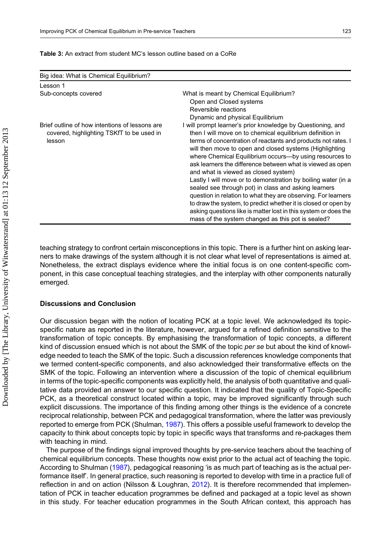| Big idea: What is Chemical Equilibrium?                                                               |                                                                                                                                                                                                                                                                                                                                                                                                                                                                                                                                                                                                                                                                                                                                                                                                              |
|-------------------------------------------------------------------------------------------------------|--------------------------------------------------------------------------------------------------------------------------------------------------------------------------------------------------------------------------------------------------------------------------------------------------------------------------------------------------------------------------------------------------------------------------------------------------------------------------------------------------------------------------------------------------------------------------------------------------------------------------------------------------------------------------------------------------------------------------------------------------------------------------------------------------------------|
| Lesson 1                                                                                              |                                                                                                                                                                                                                                                                                                                                                                                                                                                                                                                                                                                                                                                                                                                                                                                                              |
| Sub-concepts covered                                                                                  | What is meant by Chemical Equilibrium?<br>Open and Closed systems<br>Reversible reactions<br>Dynamic and physical Equilibrium                                                                                                                                                                                                                                                                                                                                                                                                                                                                                                                                                                                                                                                                                |
| Brief outline of how intentions of lessons are<br>covered, highlighting TSKfT to be used in<br>lesson | I will prompt learner's prior knowledge by Questioning, and<br>then I will move on to chemical equilibrium definition in<br>terms of concentration of reactants and products not rates. I<br>will then move to open and closed systems (Highlighting<br>where Chemical Equilibrium occurs--- by using resources to<br>ask learners the difference between what is viewed as open<br>and what is viewed as closed system)<br>Lastly I will move or to demonstration by boiling water (in a<br>sealed see through pot) in class and asking learners<br>question in relation to what they are observing. For learners<br>to draw the system, to predict whether it is closed or open by<br>asking questions like is matter lost in this system or does the<br>mass of the system changed as this pot is sealed? |

#### Table 3: An extract from student MC's lesson outline based on a CoRe

teaching strategy to confront certain misconceptions in this topic. There is a further hint on asking learners to make drawings of the system although it is not clear what level of representations is aimed at. Nonetheless, the extract displays evidence where the initial focus is on one content-specific component, in this case conceptual teaching strategies, and the interplay with other components naturally emerged.

#### Discussions and Conclusion

Our discussion began with the notion of locating PCK at a topic level. We acknowledged its topicspecific nature as reported in the literature, however, argued for a refined definition sensitive to the transformation of topic concepts. By emphasising the transformation of topic concepts, a different kind of discussion ensued which is not about the SMK of the topic per se but about the kind of knowledge needed to teach the SMK of the topic. Such a discussion references knowledge components that we termed content-specific components, and also acknowledged their transformative effects on the SMK of the topic. Following an intervention where a discussion of the topic of chemical equilibrium in terms of the topic-specific components was explicitly held, the analysis of both quantitative and qualitative data provided an answer to our specific question. It indicated that the quality of Topic-Specific PCK, as a theoretical construct located within a topic, may be improved significantly through such explicit discussions. The importance of this finding among other things is the evidence of a concrete reciprocal relationship, between PCK and pedagogical transformation, where the latter was previously reported to emerge from PCK (Shulman, [1987\)](#page-13-0). This offers a possible useful framework to develop the capacity to think about concepts topic by topic in specific ways that transforms and re-packages them with teaching in mind.

The purpose of the findings signal improved thoughts by pre-service teachers about the teaching of chemical equilibrium concepts. These thoughts now exist prior to the actual act of teaching the topic. According to Shulman ([1987\)](#page-13-0), pedagogical reasoning 'is as much part of teaching as is the actual performance itself'. In general practice, such reasoning is reported to develop with time in a practice full of reflection in and on action (Nilsson & Loughran, [2012\)](#page-13-0). It is therefore recommended that implementation of PCK in teacher education programmes be defined and packaged at a topic level as shown in this study. For teacher education programmes in the South African context, this approach has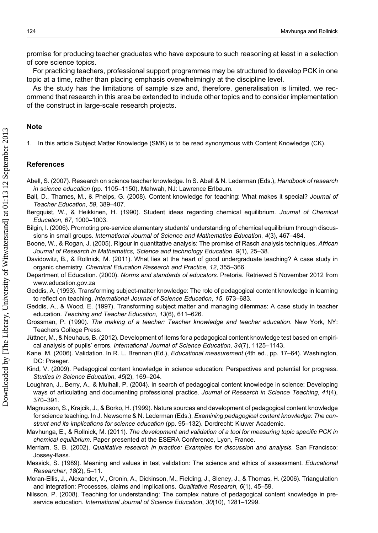<span id="page-12-0"></span>promise for producing teacher graduates who have exposure to such reasoning at least in a selection of core science topics.

For practicing teachers, professional support programmes may be structured to develop PCK in one topic at a time, rather than placing emphasis overwhelmingly at the discipline level.

As the study has the limitations of sample size and, therefore, generalisation is limited, we recommend that research in this area be extended to include other topics and to consider implementation of the construct in large-scale research projects.

#### Note

1. In this article Subject Matter Knowledge (SMK) is to be read synonymous with Content Knowledge (CK).

#### References

- Abell, S. (2007). Research on science teacher knowledge. In S. Abell & N. Lederman (Eds.), Handbook of research in science education (pp. 1105–1150). Mahwah, NJ: Lawrence Erlbaum.
- Ball, D., Thames, M., & Phelps, G. (2008). Content knowledge for teaching: What makes it special? Journal of Teacher Education, 59, 389–407.
- Bergquist, W., & Heikkinen, H. (1990). Student ideas regarding chemical equilibrium. Journal of Chemical Education, 67, 1000–1003.
- Bilgin, I. (2006). Promoting pre-service elementary students' understanding of chemical equilibrium through discussions in small groups. International Journal of Science and Mathematics Education, 4(3), 467–484.
- Boone, W., & Rogan, J. (2005). Rigour in quantitative analysis: The promise of Rasch analysis techniques. African Journal of Research in Mathematics, Science and technology Education, 9(1), 25–38.
- Davidowitz, B., & Rollnick, M. (2011). What lies at the heart of good undergraduate teaching? A case study in organic chemistry. Chemical Education Research and Practice, 12, 355–366.
- Department of Education. (2000). Norms and standards of educators. Pretoria. Retrieved 5 November 2012 from <www.education.gov.za>
- Geddis, A. (1993). Transforming subject-matter knowledge: The role of pedagogical content knowledge in learning to reflect on teaching. International Journal of Science Education, 15, 673–683.
- Geddis, A., & Wood, E. (1997). Transforming subject matter and managing dilemmas: A case study in teacher education. Teaching and Teacher Education, 13(6), 611–626.
- Grossman, P. (1990). The making of a teacher: Teacher knowledge and teacher education. New York, NY: Teachers College Press.
- Jüttner, M., & Neuhaus, B. (2012). Development of items for a pedagogical content knowledge test based on empirical analysis of pupils' errors. International Journal of Science Education, 34(7), 1125–1143.
- Kane, M. (2006). Validation. In R. L. Brennan (Ed.), Educational measurement (4th ed., pp. 17–64). Washington, DC: Praeger.
- Kind, V. (2009). Pedagogical content knowledge in science education: Perspectives and potential for progress. Studies in Science Education, 45(2), 169–204.
- Loughran, J., Berry, A., & Mulhall, P. (2004). In search of pedagogical content knowledge in science: Developing ways of articulating and documenting professional practice. Journal of Research in Science Teaching, 41(4), 370–391.
- Magnusson, S., Krajcik, J., & Borko, H. (1999). Nature sources and development of pedagogical content knowledge for science teaching. In J. Newsome & N. Lederman (Eds.), Examining pedagogical content knowledge: The construct and its implications for science education (pp. 95–132). Dordrecht: Kluwer Academic.
- Mavhunga, E., & Rollnick, M. (2011). The development and validation of a tool for measuring topic specific PCK in chemical equilibrium. Paper presented at the ESERA Conference, Lyon, France.
- Merriam, S. B. (2002). Qualitative research in practice: Examples for discussion and analysis. San Francisco: Jossey-Bass.
- Messick, S. (1989). Meaning and values in test validation: The science and ethics of assessment. Educational Researcher, 18(2), 5–11.
- Moran-Ellis, J., Alexander, V., Cronin, A., Dickinson, M., Fielding, J., Sleney, J., & Thomas, H. (2006). Triangulation and integration: Processes, claims and implications. Qualitative Research, 6(1), 45–59.
- Nilsson, P. (2008). Teaching for understanding: The complex nature of pedagogical content knowledge in preservice education. International Journal of Science Education, 30(10), 1281-1299.